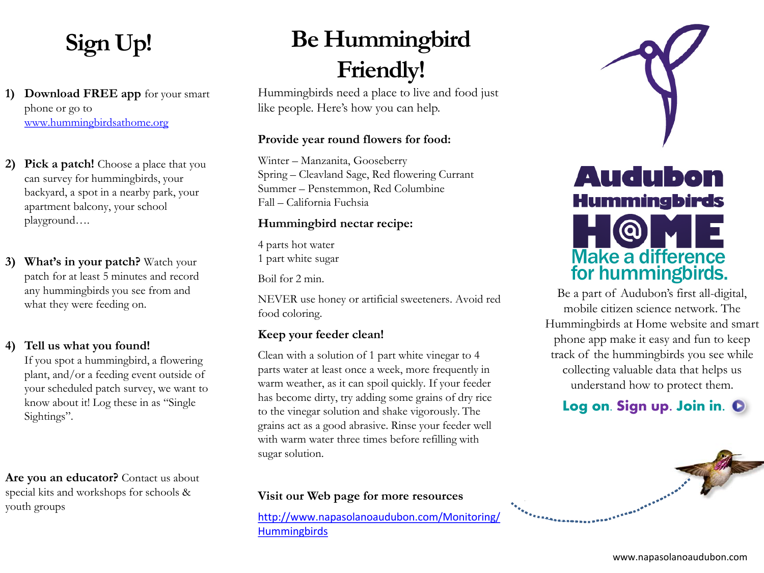### **Sign Up!**

**1) Download FREE app** for your smart phone or go to [www.hummingbirdsathome.org](http://www.hummingbirdsathome.org/)

- **2) Pick a patch!** Choose a place that you can survey for hummingbirds, your backyard, a spot in a nearby park, your apartment balcony, your school playground….
- **3) What's in your patch?** Watch your patch for at least 5 minutes and record any hummingbirds you see from and what they were feeding on.

#### **4) Tell us what you found!**

If you spot a hummingbird, a flowering plant, and/or a feeding event outside of your scheduled patch survey, we want to know about it! Log these in as "Single Sightings".

**Are you an educator?** Contact us about special kits and workshops for schools & youth groups

## **Be Hummingbird Friendly!**

Hummingbirds need a place to live and food just like people. Here's how you can help.

#### **Provide year round flowers for food:**

Winter – Manzanita, Gooseberry Spring – Cleavland Sage, Red flowering Currant Summer – Penstemmon, Red Columbine Fall – California Fuchsia

#### **Hummingbird nectar recipe:**

4 parts hot water 1 part white sugar

Boil for 2 min.

NEVER use honey or artificial sweeteners. Avoid red food coloring.

#### **Keep your feeder clean!**

Clean with a solution of 1 part white vinegar to 4 parts water at least once a week, more frequently in warm weather, as it can spoil quickly. If your feeder has become dirty, try adding some grains of dry rice to the vinegar solution and shake vigorously. The grains act as a good abrasive. Rinse your feeder well with warm water three times before refilling with sugar solution.

#### **Visit our Web page for more resources**

[http://www.napasolanoaudubon.com/Monitoring/](http://www.napasolanoaudubon.com/Monitoring/Hummingbirds) **[Hummingbirds](http://www.napasolanoaudubon.com/Monitoring/Hummingbirds)** 



Be a part of Audubon's first all-digital, mobile citizen science network. The Hummingbirds at Home website and smart phone app make it easy and fun to keep track of the hummingbirds you see while collecting valuable data that helps us understand how to protect them.

### **Log on. Sign up. Join in.**

ERSEERESEERE